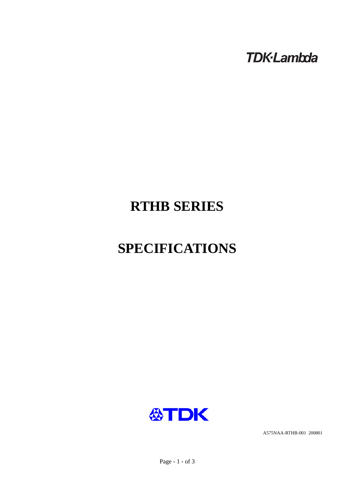**TDK-Lambda** 

# **RTHB SERIES**

# **SPECIFICATIONS**



A575NAA-RTHB-001 200801

Page - 1 - of 3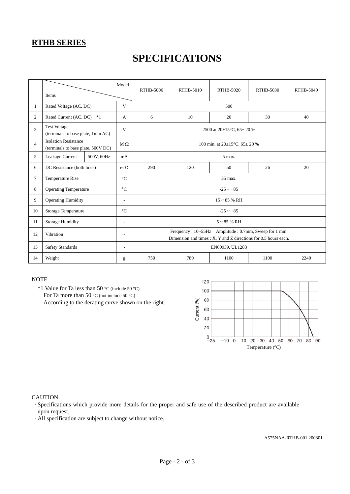### **RTHB SERIES**

## **SPECIFICATIONS**

|                | Model<br>Items                                                    |            |                          | RTHB-5006                                                                                                                | <b>RTHB-5010</b> | RTHB-5020 | RTHB-5030 | RTHB-5040 |  |
|----------------|-------------------------------------------------------------------|------------|--------------------------|--------------------------------------------------------------------------------------------------------------------------|------------------|-----------|-----------|-----------|--|
| $\mathbf{1}$   | Rated Voltage (AC, DC)                                            |            | V                        | 500                                                                                                                      |                  |           |           |           |  |
| 2              | Rated Current (AC, DC)<br>$*1$                                    |            | A                        | 6                                                                                                                        | 10               | 20        | 30        | 40        |  |
| 3              | <b>Test Voltage</b><br>(terminals to base plate, 1min AC)         |            | V                        | 2500 at 20±15°C, 65± 20 %                                                                                                |                  |           |           |           |  |
| $\overline{4}$ | <b>Isolation Resistance</b><br>(terminals to base plate, 500V DC) |            | $M\Omega$                | 100 min. at $20\pm15^{\circ}$ C, $65\pm20^{\circ}$ %                                                                     |                  |           |           |           |  |
| 5              | Leakage Current                                                   | 500V, 60Hz | mA                       | 5 max.                                                                                                                   |                  |           |           |           |  |
| 6              | DC Resistance (both lines)                                        |            | $m \Omega$               | 290                                                                                                                      | 120              | 50        | 26        | 20        |  |
| $\tau$         | <b>Temperature Rise</b>                                           |            | $\rm ^{\circ}C$          | 35 max.                                                                                                                  |                  |           |           |           |  |
| 8              | <b>Operating Temperature</b>                                      |            | $\rm ^{\circ}C$          | $-25 - +85$                                                                                                              |                  |           |           |           |  |
| 9              | <b>Operating Humidity</b>                                         |            | $\overline{\phantom{a}}$ | $15 \sim 85$ % RH                                                                                                        |                  |           |           |           |  |
| 10             | Storage Temperature                                               |            | $\rm ^{\circ}C$          | $-25 - +85$                                                                                                              |                  |           |           |           |  |
| 11             | Storage Humidity<br>$\overline{\phantom{a}}$                      |            |                          | $5 \sim 85$ % RH                                                                                                         |                  |           |           |           |  |
| 12             | Vibration                                                         |            | $\overline{\phantom{a}}$ | Frequency: 10~55Hz Amplitude: 0.7mm, Sweep for 1 min.<br>Dimension and times : X, Y and Z directions for 0.5 hours each. |                  |           |           |           |  |
| 13             | <b>Safety Standards</b>                                           |            | $\overline{a}$           | EN60939, UL1283                                                                                                          |                  |           |           |           |  |
| 14             | Weight                                                            |            | g                        | 750                                                                                                                      | 780              | 1100      | 1100      | 2240      |  |

#### **NOTE**

 \*1 Value for Ta less than 50 °C (include 50 °C) For Ta more than 50 °C (not include 50 °C) According to the derating curve shown on the right.



#### **CAUTION**

·Specifications which provide more details for the proper and safe use of the described product are available upon request.

·All specification are subject to change without notice.

A575NAA-RTHB-001 200801